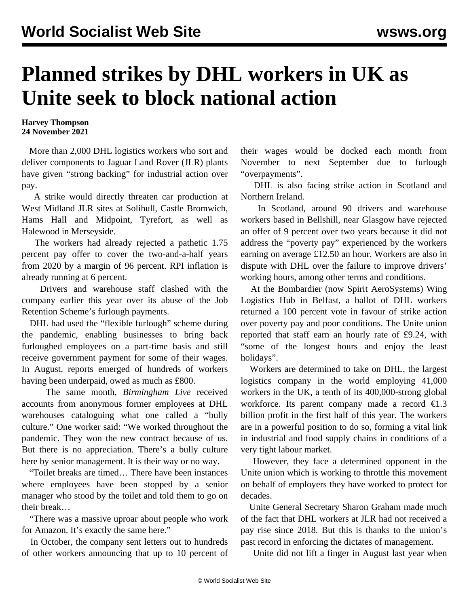## **Planned strikes by DHL workers in UK as Unite seek to block national action**

## **Harvey Thompson 24 November 2021**

 More than 2,000 DHL logistics workers who sort and deliver components to Jaguar Land Rover (JLR) plants have given "strong backing" for industrial action over pay.

 A strike would directly threaten car production at West Midland JLR sites at Solihull, Castle Bromwich, Hams Hall and Midpoint, Tyrefort, as well as Halewood in Merseyside.

 The workers had already rejected a pathetic 1.75 percent pay offer to cover the two-and-a-half years from 2020 by a margin of 96 percent. RPI inflation is already running at 6 percent.

 Drivers and warehouse staff clashed with the company earlier this year over its abuse of the Job Retention Scheme's furlough payments.

 DHL had used the "flexible furlough" scheme during the pandemic, enabling businesses to bring back furloughed employees on a part-time basis and still receive government payment for some of their wages. In August, reports emerged of hundreds of workers having been underpaid, owed as much as £800.

 The same month, *Birmingham Live* received accounts from anonymous former employees at DHL warehouses cataloguing what one called a "bully culture." One worker said: "We worked throughout the pandemic. They won the new contract because of us. But there is no appreciation. There's a bully culture here by senior management. It is their way or no way.

 "Toilet breaks are timed… There have been instances where employees have been stopped by a senior manager who stood by the toilet and told them to go on their break…

 "There was a massive uproar about people who work for Amazon. It's exactly the same here."

 In October, the company sent letters out to hundreds of other workers announcing that up to 10 percent of their wages would be docked each month from November to next September due to furlough "overpayments".

 DHL is also facing strike action in Scotland and Northern Ireland.

 In Scotland, around 90 drivers and warehouse workers based in Bellshill, near Glasgow have rejected an offer of 9 percent over two years because it did not address the "poverty pay" experienced by the workers earning on average £12.50 an hour. Workers are also in dispute with DHL over the failure to improve drivers' working hours, among other terms and conditions.

 At the Bombardier (now Spirit AeroSystems) Wing Logistics Hub in Belfast, a ballot of DHL workers returned a 100 percent vote in favour of strike action over poverty pay and poor conditions. The Unite union reported that staff earn an hourly rate of £9.24, with "some of the longest hours and enjoy the least holidays".

 Workers are determined to take on DHL, the largest logistics company in the world employing 41,000 workers in the UK, a tenth of its 400,000-strong global workforce. Its parent company made a record  $\epsilon$ 1.3 billion profit in the first half of this year. The workers are in a powerful position to do so, forming a vital link in industrial and food supply chains in conditions of a very tight labour market.

 However, they face a determined opponent in the Unite union which is working to throttle this movement on behalf of employers they have worked to protect for decades.

 Unite General Secretary Sharon Graham made much of the fact that DHL workers at JLR had not received a pay rise since 2018. But this is thanks to the union's past record in enforcing the dictates of management.

Unite did not lift a finger in August last year when